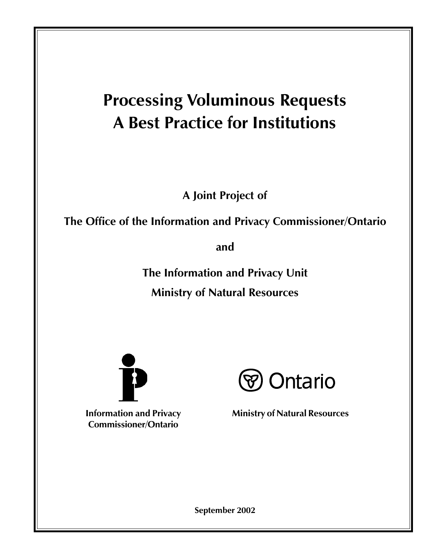# **Processing Voluminous Requests A Best Practice for Institutions**

**A Joint Project of**

**The Office of the Information and Privacy Commissioner/Ontario**

**and**

**The Information and Privacy Unit Ministry of Natural Resources**



**Information and Privacy Commissioner/Ontario**



**Ministry of Natural Resources**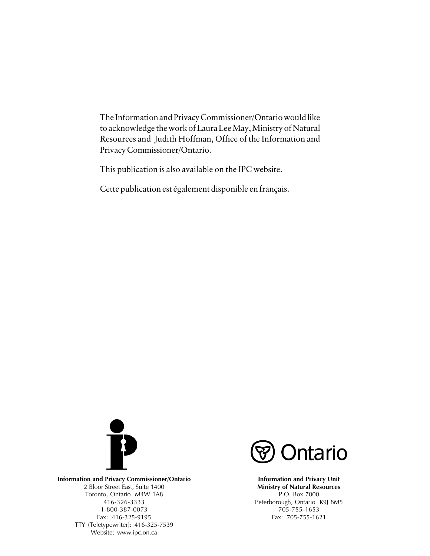The Information and Privacy Commissioner/Ontario would like to acknowledge the work of Laura Lee May, Ministry of Natural Resources and Judith Hoffman, Office of the Information and Privacy Commissioner/Ontario.

This publication is also available on the IPC website.

Cette publication est également disponible en français.



**Information and Privacy Commissioner/Ontario** 2 Bloor Street East, Suite 1400 Toronto, Ontario M4W 1A8 416-326-3333 1-800-387-0073 Fax: 416-325-9195 TTY (Teletypewriter): 416-325-7539 Website: www.ipc.on.ca



**Information and Privacy Unit Ministry of Natural Resources** P.O. Box 7000 Peterborough, Ontario K9J 8M5 705-755-1653 Fax: 705-755-1621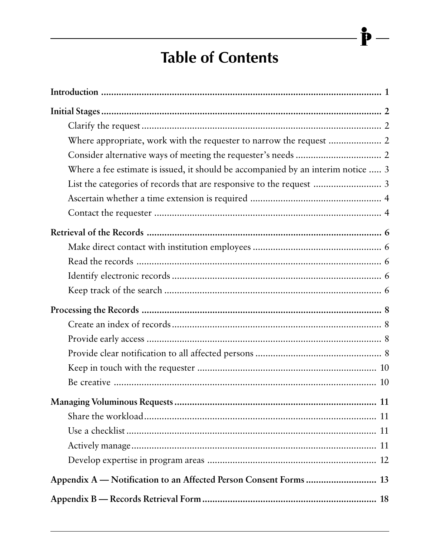# **Table of Contents**

P

 $\overline{\phantom{a}}$ 

| Where appropriate, work with the requester to narrow the request  2              |
|----------------------------------------------------------------------------------|
|                                                                                  |
| Where a fee estimate is issued, it should be accompanied by an interim notice  3 |
|                                                                                  |
|                                                                                  |
|                                                                                  |
|                                                                                  |
|                                                                                  |
|                                                                                  |
|                                                                                  |
|                                                                                  |
|                                                                                  |
|                                                                                  |
|                                                                                  |
|                                                                                  |
|                                                                                  |
|                                                                                  |
|                                                                                  |
|                                                                                  |
|                                                                                  |
|                                                                                  |
|                                                                                  |
|                                                                                  |
|                                                                                  |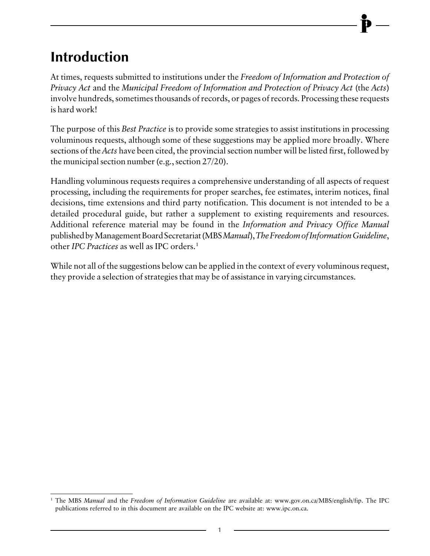## <span id="page-3-0"></span>**Introduction**

At times, requests submitted to institutions under the *Freedom of Information and Protection of Privacy Act* and the *Municipal Freedom of Information and Protection of Privacy Act* (the *Acts*) involve hundreds, sometimes thousands of records, or pages of records. Processing these requests is hard work!

The purpose of this *Best Practice* is to provide some strategies to assist institutions in processing voluminous requests, although some of these suggestions may be applied more broadly. Where sections of the *Acts* have been cited, the provincial section number will be listed first, followed by the municipal section number (e.g., section 27/20).

Handling voluminous requests requires a comprehensive understanding of all aspects of request processing, including the requirements for proper searches, fee estimates, interim notices, final decisions, time extensions and third party notification. This document is not intended to be a detailed procedural guide, but rather a supplement to existing requirements and resources. Additional reference material may be found in the *Information and Privacy Office Manual* published by Management Board Secretariat (MBS *Manual*), *The Freedom of Information Guideline*, other *IPC Practices* as well as IPC orders.1

While not all of the suggestions below can be applied in the context of every voluminous request, they provide a selection of strategies that may be of assistance in varying circumstances.

<sup>1</sup> The MBS *Manual* and the *Freedom of Information Guideline* are available at: www.gov.on.ca/MBS/english/fip. The IPC publications referred to in this document are available on the IPC website at: www.ipc.on.ca.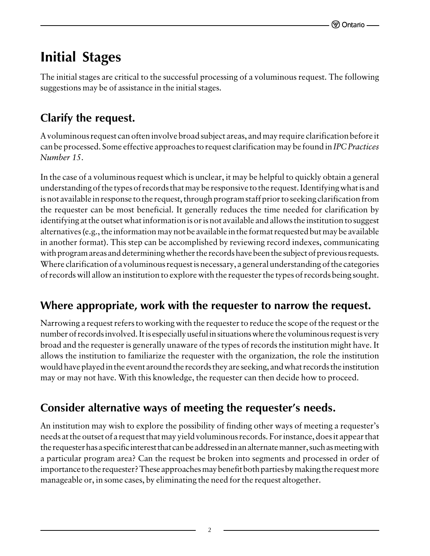## <span id="page-4-0"></span>**Initial Stages**

The initial stages are critical to the successful processing of a voluminous request. The following suggestions may be of assistance in the initial stages.

### **Clarify the request.**

A voluminous request can often involve broad subject areas, and may require clarification before it can be processed. Some effective approaches to request clarification may be found in *IPC Practices Number 15*.

In the case of a voluminous request which is unclear, it may be helpful to quickly obtain a general understanding of the types of records that may be responsive to the request. Identifying what is and is not available in response to the request, through program staff prior to seeking clarification from the requester can be most beneficial. It generally reduces the time needed for clarification by identifying at the outset what information is or is not available and allows the institution to suggest alternatives (e.g., the information may not be available in the format requested but may be available in another format). This step can be accomplished by reviewing record indexes, communicating with program areas and determining whether the records have been the subject of previous requests. Where clarification of a voluminous request is necessary, a general understanding of the categories of records will allow an institution to explore with the requester the types of records being sought.

### **Where appropriate, work with the requester to narrow the request.**

Narrowing a request refers to working with the requester to reduce the scope of the request or the number of records involved. It is especially useful in situations where the voluminous request is very broad and the requester is generally unaware of the types of records the institution might have. It allows the institution to familiarize the requester with the organization, the role the institution would have played in the event around the records they are seeking, and what records the institution may or may not have. With this knowledge, the requester can then decide how to proceed.

### **Consider alternative ways of meeting the requester's needs.**

An institution may wish to explore the possibility of finding other ways of meeting a requester's needs at the outset of a request that may yield voluminous records. For instance, does it appear that the requester has a specific interest that can be addressed in an alternate manner, such as meeting with a particular program area? Can the request be broken into segments and processed in order of importance to the requester? These approaches may benefit both parties by making the request more manageable or, in some cases, by eliminating the need for the request altogether.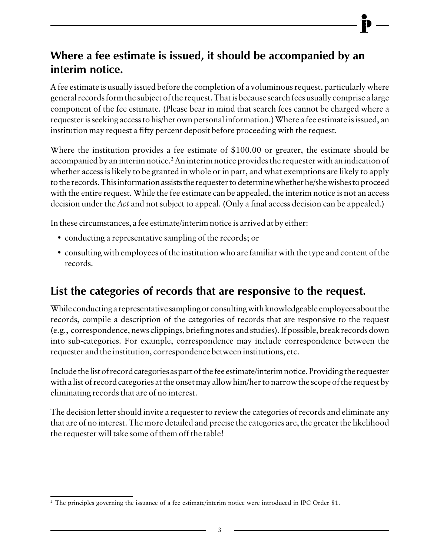#### <span id="page-5-0"></span>**Where a fee estimate is issued, it should be accompanied by an interim notice.**

A fee estimate is usually issued before the completion of a voluminous request, particularly where general records form the subject of the request. That is because search fees usually comprise a large component of the fee estimate. (Please bear in mind that search fees cannot be charged where a requester is seeking access to his/her own personal information.) Where a fee estimate is issued, an institution may request a fifty percent deposit before proceeding with the request.

Where the institution provides a fee estimate of \$100.00 or greater, the estimate should be accompanied by an interim notice.<sup>2</sup> An interim notice provides the requester with an indication of whether access is likely to be granted in whole or in part, and what exemptions are likely to apply to the records. This information assists the requester to determine whether he/she wishes to proceed with the entire request. While the fee estimate can be appealed, the interim notice is not an access decision under the *Act* and not subject to appeal. (Only a final access decision can be appealed.)

In these circumstances, a fee estimate/interim notice is arrived at by either:

- conducting a representative sampling of the records; or
- consulting with employees of the institution who are familiar with the type and content of the records.

#### **List the categories of records that are responsive to the request.**

While conducting a representative sampling or consulting with knowledgeable employees about the records, compile a description of the categories of records that are responsive to the request (e.g., correspondence, news clippings, briefing notes and studies). If possible, break records down into sub-categories. For example, correspondence may include correspondence between the requester and the institution, correspondence between institutions, etc.

Include the list of record categories as part of the fee estimate/interim notice. Providing the requester with a list of record categories at the onset may allow him/her to narrow the scope of the request by eliminating records that are of no interest.

The decision letter should invite a requester to review the categories of records and eliminate any that are of no interest. The more detailed and precise the categories are, the greater the likelihood the requester will take some of them off the table!

<sup>&</sup>lt;sup>2</sup> The principles governing the issuance of a fee estimate/interim notice were introduced in IPC Order 81.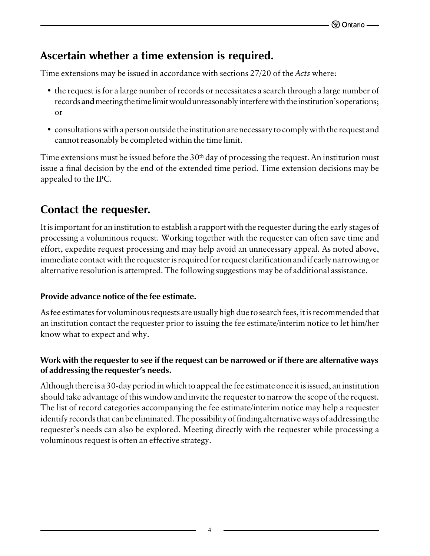#### <span id="page-6-0"></span>**Ascertain whether a time extension is required.**

Time extensions may be issued in accordance with sections 27/20 of the *Acts* where:

- the request is for a large number of records or necessitates a search through a large number of records **and** meeting the time limit would unreasonably interfere with the institution's operations; or
- consultations with a person outside the institution are necessary to comply with the request and cannot reasonably be completed within the time limit.

Time extensions must be issued before the  $30<sup>th</sup>$  day of processing the request. An institution must issue a final decision by the end of the extended time period. Time extension decisions may be appealed to the IPC.

### **Contact the requester.**

It is important for an institution to establish a rapport with the requester during the early stages of processing a voluminous request. Working together with the requester can often save time and effort, expedite request processing and may help avoid an unnecessary appeal. As noted above, immediate contact with the requester is required for request clarification and if early narrowing or alternative resolution is attempted. The following suggestions may be of additional assistance.

#### **Provide advance notice of the fee estimate.**

As fee estimates for voluminous requests are usually high due to search fees, it is recommended that an institution contact the requester prior to issuing the fee estimate/interim notice to let him/her know what to expect and why.

#### **Work with the requester to see if the request can be narrowed or if there are alternative ways of addressing the requester's needs.**

Although there is a 30-day period in which to appeal the fee estimate once it is issued, an institution should take advantage of this window and invite the requester to narrow the scope of the request. The list of record categories accompanying the fee estimate/interim notice may help a requester identify records that can be eliminated. The possibility of finding alternative ways of addressing the requester's needs can also be explored. Meeting directly with the requester while processing a voluminous request is often an effective strategy.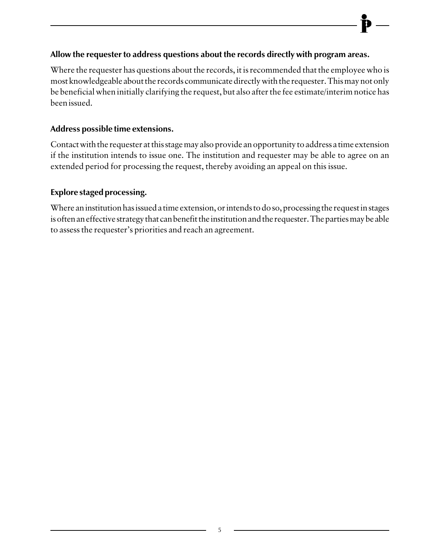#### **Allow the requester to address questions about the records directly with program areas.**

Where the requester has questions about the records, it is recommended that the employee who is most knowledgeable about the records communicate directly with the requester. This may not only be beneficial when initially clarifying the request, but also after the fee estimate/interim notice has been issued.

#### **Address possible time extensions.**

Contact with the requester at this stage may also provide an opportunity to address a time extension if the institution intends to issue one. The institution and requester may be able to agree on an extended period for processing the request, thereby avoiding an appeal on this issue.

#### **Explore staged processing.**

Where an institution has issued a time extension, or intends to do so, processing the request in stages is often an effective strategy that can benefit the institution and the requester. The parties may be able to assess the requester's priorities and reach an agreement.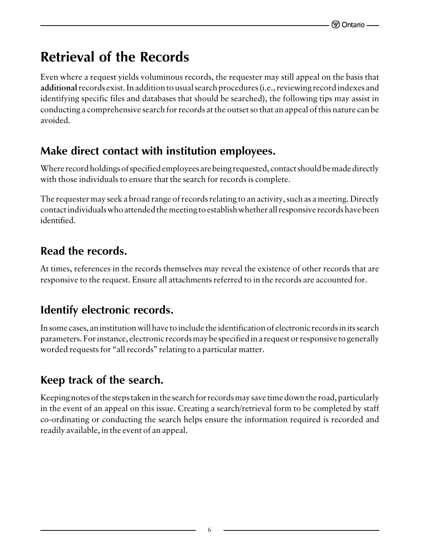## <span id="page-8-0"></span>**Retrieval of the Records**

Even where a request yields voluminous records, the requester may still appeal on the basis that **additional** records exist. In addition to usual search procedures (i.e., reviewing record indexes and identifying specific files and databases that should be searched), the following tips may assist in conducting a comprehensive search for records at the outset so that an appeal of this nature can be avoided.

### **Make direct contact with institution employees.**

Where record holdings of specified employees are being requested, contact should be made directly with those individuals to ensure that the search for records is complete.

The requester may seek a broad range of records relating to an activity, such as a meeting. Directly contact individuals who attended the meeting to establish whether all responsive records have been identified.

#### **Read the records.**

At times, references in the records themselves may reveal the existence of other records that are responsive to the request. Ensure all attachments referred to in the records are accounted for.

### **Identify electronic records.**

In some cases, an institution will have to include the identification of electronic records in its search parameters. For instance, electronic records may be specified in a request or responsive to generally worded requests for "all records" relating to a particular matter.

### **Keep track of the search.**

Keeping notes of the steps taken in the search for records may save time down the road, particularly in the event of an appeal on this issue. Creating a search/retrieval form to be completed by staff co-ordinating or conducting the search helps ensure the information required is recorded and readily available, in the event of an appeal.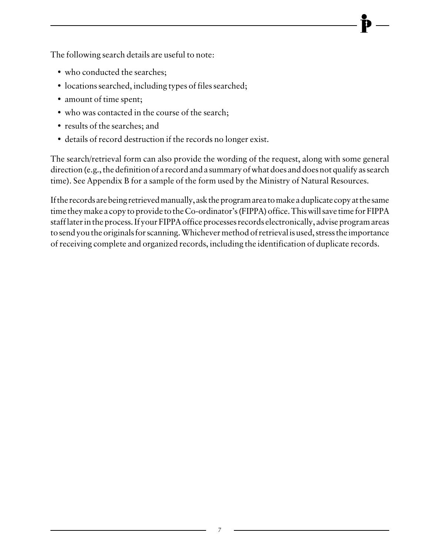The following search details are useful to note:

- who conducted the searches;
- locations searched, including types of files searched;
- amount of time spent;
- who was contacted in the course of the search;
- results of the searches; and
- details of record destruction if the records no longer exist.

The search/retrieval form can also provide the wording of the request, along with some general direction (e.g., the definition of a record and a summary of what does and does not qualify as search time). See Appendix B for a sample of the form used by the Ministry of Natural Resources.

If the records are being retrieved manually, ask the program area to make a duplicate copy at the same time they make a copy to provide to the Co-ordinator's (FIPPA) office. This will save time for FIPPA staff later in the process. If your FIPPA office processes records electronically, advise program areas to send you the originals for scanning. Whichever method of retrieval is used, stress the importance of receiving complete and organized records, including the identification of duplicate records.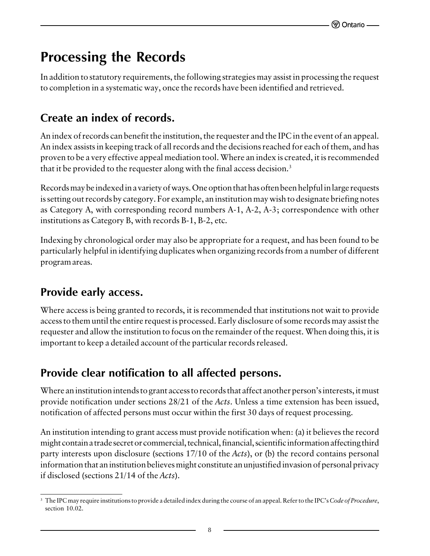## <span id="page-10-0"></span>**Processing the Records**

In addition to statutory requirements, the following strategies may assist in processing the request to completion in a systematic way, once the records have been identified and retrieved.

#### **Create an index of records.**

An index of records can benefit the institution, the requester and the IPC in the event of an appeal. An index assists in keeping track of all records and the decisions reached for each of them, and has proven to be a very effective appeal mediation tool. Where an index is created, it is recommended that it be provided to the requester along with the final access decision.<sup>3</sup>

Records may be indexed in a variety of ways. One option that has often been helpful in large requests is setting out records by category. For example, an institution may wish to designate briefing notes as Category A, with corresponding record numbers A-1, A-2, A-3; correspondence with other institutions as Category B, with records B-1, B-2, etc.

Indexing by chronological order may also be appropriate for a request, and has been found to be particularly helpful in identifying duplicates when organizing records from a number of different program areas.

#### **Provide early access.**

Where access is being granted to records, it is recommended that institutions not wait to provide access to them until the entire request is processed. Early disclosure of some records may assist the requester and allow the institution to focus on the remainder of the request. When doing this, it is important to keep a detailed account of the particular records released.

### **Provide clear notification to all affected persons.**

Where an institution intends to grant access to records that affect another person's interests, it must provide notification under sections 28/21 of the *Acts*. Unless a time extension has been issued, notification of affected persons must occur within the first 30 days of request processing.

An institution intending to grant access must provide notification when: (a) it believes the record might contain a trade secret or commercial, technical, financial, scientific information affecting third party interests upon disclosure (sections 17/10 of the *Acts*), or (b) the record contains personal information that an institution believes might constitute an unjustified invasion of personal privacy if disclosed (sections 21/14 of the *Acts*).

<sup>3</sup> The IPC may require institutions to provide a detailed index during the course of an appeal. Refer to the IPC's *Code of Procedure*, section 10.02.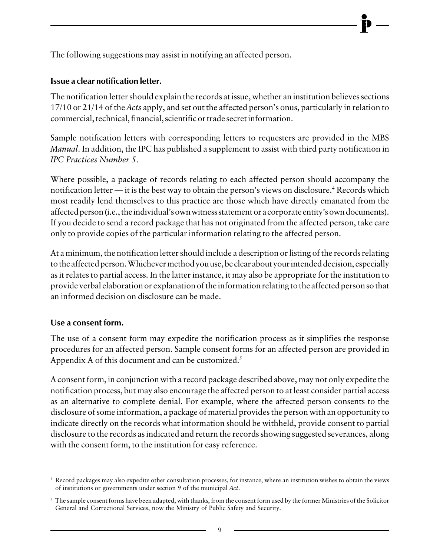The following suggestions may assist in notifying an affected person.

#### **Issue a clear notification letter.**

The notification letter should explain the records at issue, whether an institution believes sections 17/10 or 21/14 of the *Acts* apply, and set out the affected person's onus, particularly in relation to commercial, technical, financial, scientific or trade secret information.

Sample notification letters with corresponding letters to requesters are provided in the MBS *Manual*. In addition, the IPC has published a supplement to assist with third party notification in *IPC Practices Number 5*.

Where possible, a package of records relating to each affected person should accompany the notification letter — it is the best way to obtain the person's views on disclosure.<sup>4</sup> Records which most readily lend themselves to this practice are those which have directly emanated from the affected person (i.e., the individual's own witness statement or a corporate entity's own documents). If you decide to send a record package that has not originated from the affected person, take care only to provide copies of the particular information relating to the affected person.

At a minimum, the notification letter should include a description or listing of the records relating to the affected person. Whichever method you use, be clear about your intended decision, especially as it relates to partial access. In the latter instance, it may also be appropriate for the institution to provide verbal elaboration or explanation of the information relating to the affected person so that an informed decision on disclosure can be made.

#### **Use a consent form.**

The use of a consent form may expedite the notification process as it simplifies the response procedures for an affected person. Sample consent forms for an affected person are provided in Appendix A of this document and can be customized.<sup>5</sup>

A consent form, in conjunction with a record package described above, may not only expedite the notification process, but may also encourage the affected person to at least consider partial access as an alternative to complete denial. For example, where the affected person consents to the disclosure of some information, a package of material provides the person with an opportunity to indicate directly on the records what information should be withheld, provide consent to partial disclosure to the records as indicated and return the records showing suggested severances, along with the consent form, to the institution for easy reference.

<sup>4</sup> Record packages may also expedite other consultation processes, for instance, where an institution wishes to obtain the views of institutions or governments under section 9 of the municipal *Act*.

 $5$  The sample consent forms have been adapted, with thanks, from the consent form used by the former Ministries of the Solicitor General and Correctional Services, now the Ministry of Public Safety and Security.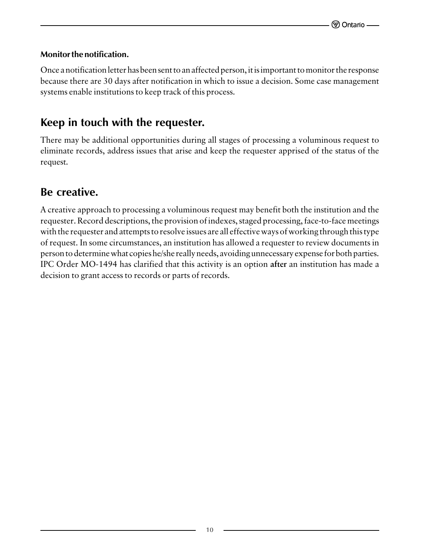#### <span id="page-12-0"></span>**Monitor the notification.**

Once a notification letter has been sent to an affected person, it is important to monitor the response because there are 30 days after notification in which to issue a decision. Some case management systems enable institutions to keep track of this process.

#### **Keep in touch with the requester.**

There may be additional opportunities during all stages of processing a voluminous request to eliminate records, address issues that arise and keep the requester apprised of the status of the request.

#### **Be creative.**

A creative approach to processing a voluminous request may benefit both the institution and the requester. Record descriptions, the provision of indexes, staged processing, face-to-face meetings with the requester and attempts to resolve issues are all effective ways of working through this type of request. In some circumstances, an institution has allowed a requester to review documents in person to determine what copies he/she really needs, avoiding unnecessary expense for both parties. IPC Order MO-1494 has clarified that this activity is an option **after** an institution has made a decision to grant access to records or parts of records.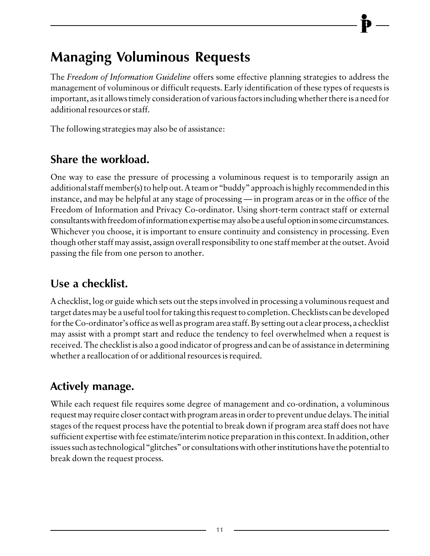## <span id="page-13-0"></span>**Managing Voluminous Requests**

The *Freedom of Information Guideline* offers some effective planning strategies to address the management of voluminous or difficult requests. Early identification of these types of requests is important, as it allows timely consideration of various factors including whether there is a need for additional resources or staff.

The following strategies may also be of assistance:

### **Share the workload.**

One way to ease the pressure of processing a voluminous request is to temporarily assign an additional staff member(s) to help out. A team or "buddy" approach is highly recommended in this instance, and may be helpful at any stage of processing — in program areas or in the office of the Freedom of Information and Privacy Co-ordinator. Using short-term contract staff or external consultants with freedom of information expertise may also be a useful option in some circumstances. Whichever you choose, it is important to ensure continuity and consistency in processing. Even though other staff may assist, assign overall responsibility to one staff member at the outset. Avoid passing the file from one person to another.

### **Use a checklist.**

A checklist, log or guide which sets out the steps involved in processing a voluminous request and target dates may be a useful tool for taking this request to completion. Checklists can be developed for the Co-ordinator's office as well as program area staff. By setting out a clear process, a checklist may assist with a prompt start and reduce the tendency to feel overwhelmed when a request is received. The checklist is also a good indicator of progress and can be of assistance in determining whether a reallocation of or additional resources is required.

### **Actively manage.**

While each request file requires some degree of management and co-ordination, a voluminous request may require closer contact with program areas in order to prevent undue delays. The initial stages of the request process have the potential to break down if program area staff does not have sufficient expertise with fee estimate/interim notice preparation in this context. In addition, other issues such as technological "glitches" or consultations with other institutions have the potential to break down the request process.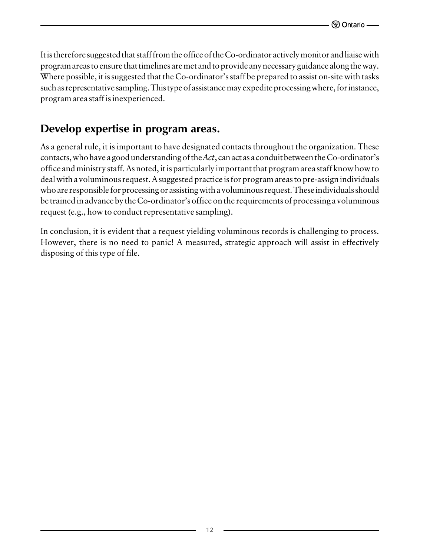<span id="page-14-0"></span>It is therefore suggested that staff from the office of the Co-ordinator actively monitor and liaise with program areas to ensure that timelines are met and to provide any necessary guidance along the way. Where possible, it is suggested that the Co-ordinator's staff be prepared to assist on-site with tasks such as representative sampling. This type of assistance may expedite processing where, for instance, program area staff is inexperienced.

#### **Develop expertise in program areas.**

As a general rule, it is important to have designated contacts throughout the organization. These contacts, who have a good understanding of the *Act*, can act as a conduit between the Co-ordinator's office and ministry staff. As noted, it is particularly important that program area staff know how to deal with a voluminous request. A suggested practice is for program areas to pre-assign individuals who are responsible for processing or assisting with a voluminous request. These individuals should be trained in advance by the Co-ordinator's office on the requirements of processing a voluminous request (e.g., how to conduct representative sampling).

In conclusion, it is evident that a request yielding voluminous records is challenging to process. However, there is no need to panic! A measured, strategic approach will assist in effectively disposing of this type of file.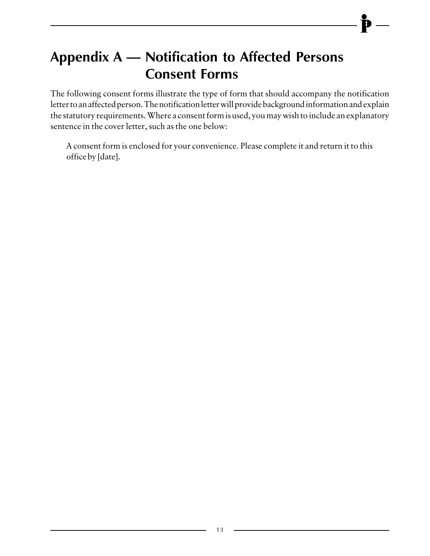## <span id="page-15-0"></span>**Appendix A — Notification to Affected Persons Consent Forms**

The following consent forms illustrate the type of form that should accompany the notification letter to an affected person. The notification letter will provide background information and explain the statutory requirements. Where a consent form is used, you may wish to include an explanatory sentence in the cover letter, such as the one below:

A consent form is enclosed for your convenience. Please complete it and return it to this office by [date].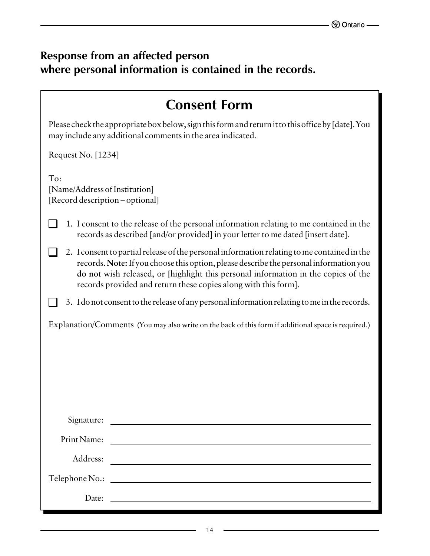### **Response from an affected person where personal information is contained in the records.**

| <b>Consent Form</b>                                                                                                                                                                                                                                                                                                                            |
|------------------------------------------------------------------------------------------------------------------------------------------------------------------------------------------------------------------------------------------------------------------------------------------------------------------------------------------------|
| Please check the appropriate box below, sign this form and return it to this office by [date]. You<br>may include any additional comments in the area indicated.                                                                                                                                                                               |
| Request No. [1234]                                                                                                                                                                                                                                                                                                                             |
| To:<br>[Name/Address of Institution]<br>[Record description - optional]                                                                                                                                                                                                                                                                        |
| 1. I consent to the release of the personal information relating to me contained in the<br>records as described [and/or provided] in your letter to me dated [insert date].                                                                                                                                                                    |
| 2. I consent to partial release of the personal information relating to me contained in the<br>records. Note: If you choose this option, please describe the personal information you<br>do not wish released, or [highlight this personal information in the copies of the<br>records provided and return these copies along with this form]. |
| 3. I do not consent to the release of any personal information relating to me in the records.                                                                                                                                                                                                                                                  |
| Explanation/Comments (You may also write on the back of this form if additional space is required.)                                                                                                                                                                                                                                            |
|                                                                                                                                                                                                                                                                                                                                                |
|                                                                                                                                                                                                                                                                                                                                                |
|                                                                                                                                                                                                                                                                                                                                                |
|                                                                                                                                                                                                                                                                                                                                                |
| Signature:<br><u> 1989 - Johann Barn, mars ann an t-Amhainn an t-Amhainn an t-Amhainn an t-Amhainn an t-Amhainn an t-Amhainn an </u>                                                                                                                                                                                                           |
| Print Name:                                                                                                                                                                                                                                                                                                                                    |
| Address:<br><u> 1989 - Johann Barn, amerikansk politiker (d. 1989)</u>                                                                                                                                                                                                                                                                         |
| Telephone No.:<br><u> 1989 - Johann Harry Harry Harry Harry Harry Harry Harry Harry Harry Harry Harry Harry Harry Harry Harry Harry</u>                                                                                                                                                                                                        |
| Date:<br><u> 1989 - Johann John Stone, markin f</u>                                                                                                                                                                                                                                                                                            |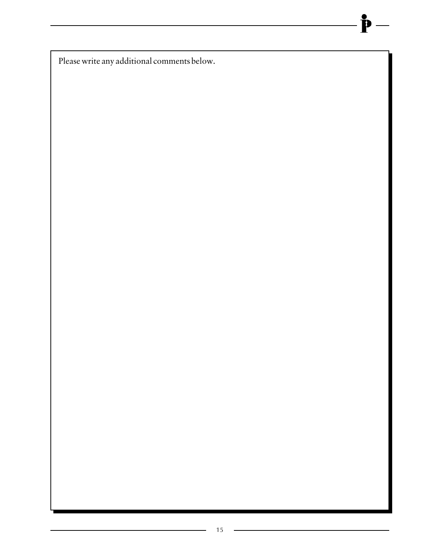Please write any additional comments below. Please write any additional comments below.

P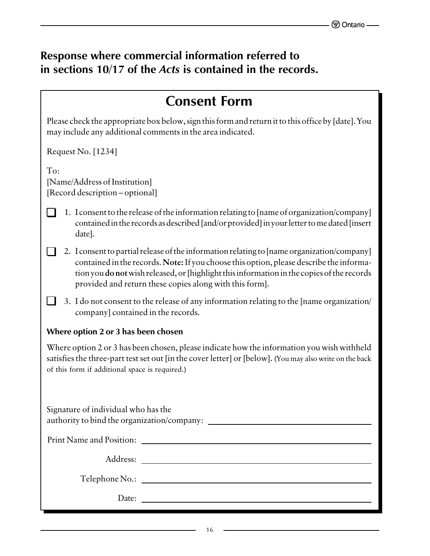#### **Response where commercial information referred to in sections 10/17 of the** *Acts* **is contained in the records.**

### **Consent Form**

Please check the appropriate box below, sign this form and return it to this office by [date]. You may include any additional comments in the area indicated.

Request No. [1234]

To: [Name/Address of Institution] [Record description – optional]

- 1. I consent to the release of the information relating to [name of organization/company] contained in the records as described [and/or provided] in your letter to me dated [insert date].
- 2. I consent to partial release of the information relating to [name organization/company] contained in the records. **Note:** If you choose this option, please describe the information you **do not** wish released, or [highlight this information in the copies of the records provided and return these copies along with this form].
- $\mathcal{L}^{\mathcal{A}}$ 3. I do not consent to the release of any information relating to the [name organization/ company] contained in the records.

#### **Where option 2 or 3 has been chosen**

Where option 2 or 3 has been chosen, please indicate how the information you wish withheld satisfies the three-part test set out [in the cover letter] or [below]. (You may also write on the back of this form if additional space is required.)

Signature of individual who has the authority to bind the organization/company: Print Name and Position: Address: Latin Contract Contract Contract Contract Contract Contract Contract Contract Contract Contract Contract Contract Contract Contract Contract Contract Contract Contract Contract Contract Contract Contract Contract Telephone No.: Date: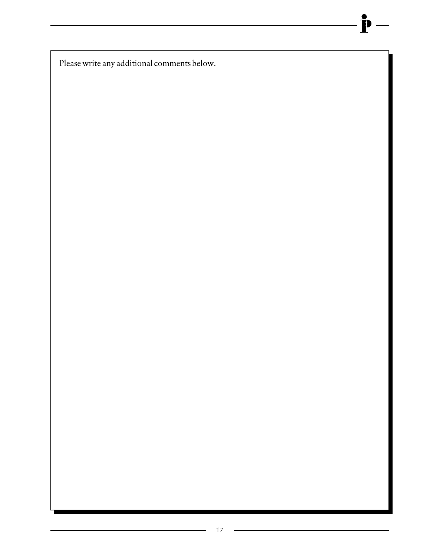Please write any additional comments below.

P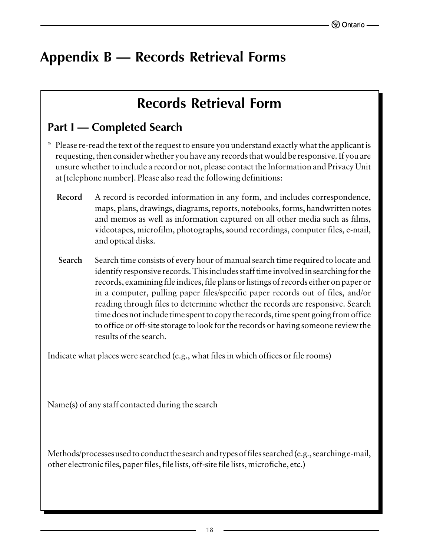## <span id="page-20-0"></span>**Appendix B — Records Retrieval Forms**

## **Records Retrieval Form**

#### **Part I — Completed Search**

- \* Please re-read the text of the request to ensure you understand exactly what the applicant is requesting, then consider whether you have any records that would be responsive. If you are unsure whether to include a record or not, please contact the Information and Privacy Unit at [telephone number]. Please also read the following definitions:
	- **Record** A record is recorded information in any form, and includes correspondence, maps, plans, drawings, diagrams, reports, notebooks, forms, handwritten notes and memos as well as information captured on all other media such as films, videotapes, microfilm, photographs, sound recordings, computer files, e-mail, and optical disks.
	- **Search** Search time consists of every hour of manual search time required to locate and identify responsive records. This includes staff time involved in searching for the records, examining file indices, file plans or listings of records either on paper or in a computer, pulling paper files/specific paper records out of files, and/or reading through files to determine whether the records are responsive. Search time does not include time spent to copy the records, time spent going from office to office or off-site storage to look for the records or having someone review the results of the search.

Indicate what places were searched (e.g., what files in which offices or file rooms)

Name(s) of any staff contacted during the search

Methods/processes used to conduct the search and types of files searched (e.g., searching e-mail, other electronic files, paper files, file lists, off-site file lists, microfiche, etc.)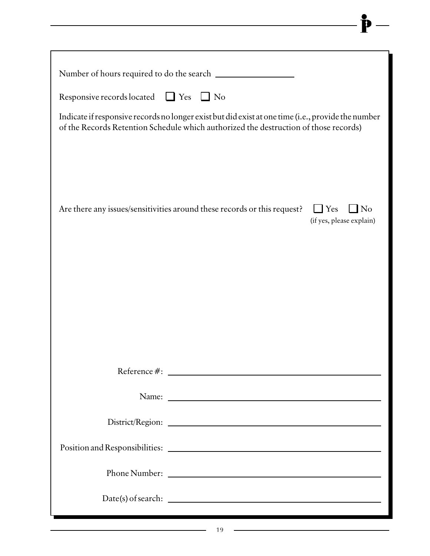| Responsive records located $\Box$ Yes $\Box$ No                                                                                                                                            |  |
|--------------------------------------------------------------------------------------------------------------------------------------------------------------------------------------------|--|
| Indicate if responsive records no longer exist but did exist at one time (i.e., provide the number<br>of the Records Retention Schedule which authorized the destruction of those records) |  |
|                                                                                                                                                                                            |  |
|                                                                                                                                                                                            |  |
|                                                                                                                                                                                            |  |
|                                                                                                                                                                                            |  |
| Are there any issues/sensitivities around these records or this request?<br>$\mathbf{I}$ Yes<br>$\sqrt{\phantom{a}}$ No<br>(if yes, please explain)                                        |  |
|                                                                                                                                                                                            |  |
|                                                                                                                                                                                            |  |
|                                                                                                                                                                                            |  |
|                                                                                                                                                                                            |  |
|                                                                                                                                                                                            |  |
|                                                                                                                                                                                            |  |
|                                                                                                                                                                                            |  |
|                                                                                                                                                                                            |  |
|                                                                                                                                                                                            |  |
|                                                                                                                                                                                            |  |
|                                                                                                                                                                                            |  |
|                                                                                                                                                                                            |  |
|                                                                                                                                                                                            |  |
| Phone Number:                                                                                                                                                                              |  |
|                                                                                                                                                                                            |  |
|                                                                                                                                                                                            |  |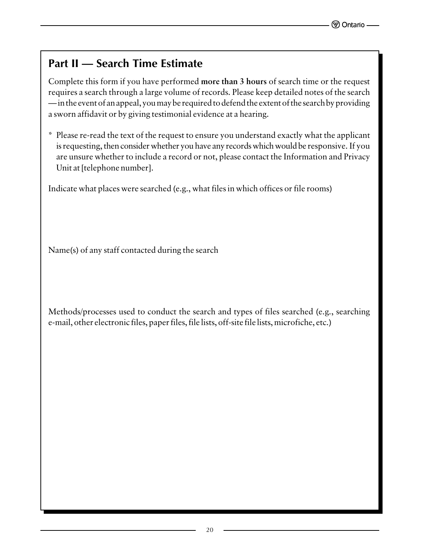### **Part II — Search Time Estimate**

Complete this form if you have performed **more than 3 hours** of search time or the request requires a search through a large volume of records. Please keep detailed notes of the search — in the event of an appeal, you may be required to defend the extent of the search by providing a sworn affidavit or by giving testimonial evidence at a hearing.

\* Please re-read the text of the request to ensure you understand exactly what the applicant is requesting, then consider whether you have any records which would be responsive. If you are unsure whether to include a record or not, please contact the Information and Privacy Unit at [telephone number].

Indicate what places were searched (e.g., what files in which offices or file rooms)

Name(s) of any staff contacted during the search

Methods/processes used to conduct the search and types of files searched (e.g., searching e-mail, other electronic files, paper files, file lists, off-site file lists, microfiche, etc.)